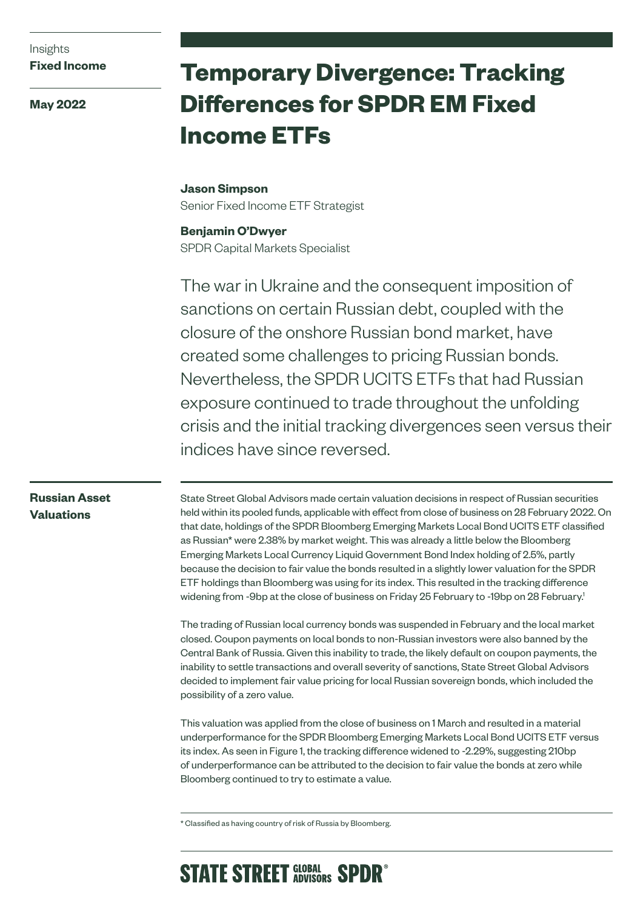## Insights **Fixed Income**

**May 2022**

# **Temporary Divergence: Tracking Differences for SPDR EM Fixed Income ETFs**

# **Jason Simpson** Senior Fixed Income ETF Strategist

**Benjamin O'Dwyer** SPDR Capital Markets Specialist

The war in Ukraine and the consequent imposition of sanctions on certain Russian debt, coupled with the closure of the onshore Russian bond market, have created some challenges to pricing Russian bonds. Nevertheless, the SPDR UCITS ETFs that had Russian exposure continued to trade throughout the unfolding crisis and the initial tracking divergences seen versus their indices have since reversed.

# **Russian Asset Valuations**

State Street Global Advisors made certain valuation decisions in respect of Russian securities held within its pooled funds, applicable with effect from close of business on 28 February 2022. On that date, holdings of the SPDR Bloomberg Emerging Markets Local Bond UCITS ETF classified as Russian\* were 2.38% by market weight. This was already a little below the Bloomberg Emerging Markets Local Currency Liquid Government Bond Index holding of 2.5%, partly because the decision to fair value the bonds resulted in a slightly lower valuation for the SPDR ETF holdings than Bloomberg was using for its index. This resulted in the tracking difference widening from -9bp at the close of business on Friday 25 February to -19bp on 28 February.<sup>1</sup>

The trading of Russian local currency bonds was suspended in February and the local market closed. Coupon payments on local bonds to non-Russian investors were also banned by the Central Bank of Russia. Given this inability to trade, the likely default on coupon payments, the inability to settle transactions and overall severity of sanctions, State Street Global Advisors decided to implement fair value pricing for local Russian sovereign bonds, which included the possibility of a zero value.

This valuation was applied from the close of business on 1 March and resulted in a material underperformance for the SPDR Bloomberg Emerging Markets Local Bond UCITS ETF versus its index. As seen in Figure 1, the tracking difference widened to -2.29%, suggesting 210bp of underperformance can be attributed to the decision to fair value the bonds at zero while Bloomberg continued to try to estimate a value.

\* Classified as having country of risk of Russia by Bloomberg.

# **STATE STREET GLOBAL SPDR<sup>®</sup>**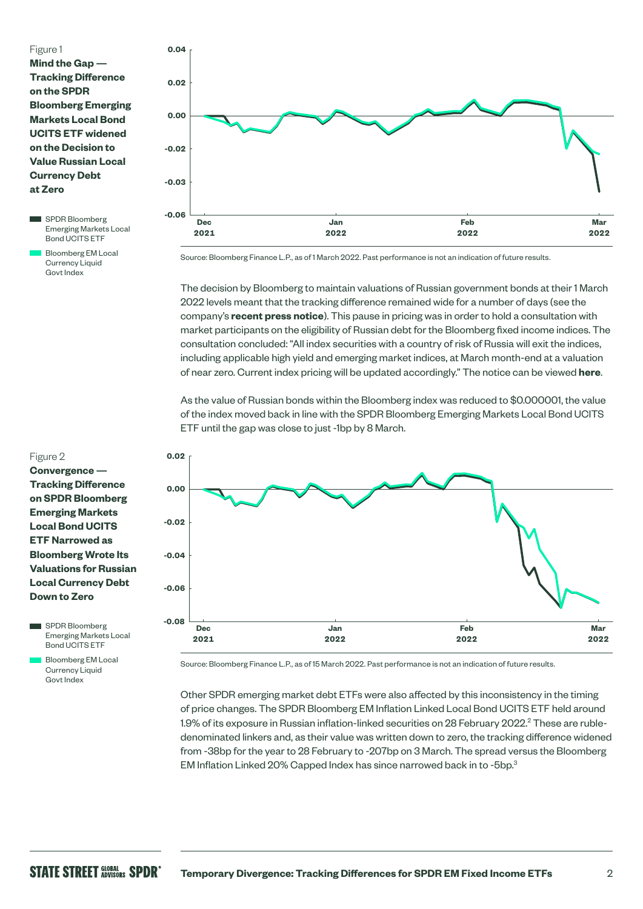### Figure 1

**Mind the Gap — Tracking Difference on the SPDR Bloomberg Emerging Markets Local Bond UCITS ETF widened on the Decision to Value Russian Local Currency Debt at Zero**

SPDR Bloomberg Emerging Markets Local Bond UCITS ETF

**Bloomberg EM Local** Currency Liquid Govt Index

#### Figure 2

**Convergence — Tracking Difference on SPDR Bloomberg Emerging Markets Local Bond UCITS ETF Narrowed as Bloomberg Wrote Its Valuations for Russian Local Currency Debt Down to Zero**

SPDR Bloomberg Emerging Markets Local Bond UCITS ETF

 Bloomberg EM Local Currency Liquid Govt Index



Source: Bloomberg Finance L.P., as of 1 March 2022. Past performance is not an indication of future results.

The decision by Bloomberg to maintain valuations of Russian government bonds at their 1 March 2022 levels meant that the tracking difference remained wide for a number of days (see the company's **[recent press notice](https://assets.bbhub.io/professional/sites/10/Bloomberg-Index-Announcement_Impact-of-Russia-Sanctions-on-the-Bloomberg-Fixed-Income-Indices_2022.03.01.pdf)**). This pause in pricing was in order to hold a consultation with market participants on the eligibility of Russian debt for the Bloomberg fixed income indices. The consultation concluded: "All index securities with a country of risk of Russia will exit the indices, including applicable high yield and emerging market indices, at March month-end at a valuation of near zero. Current index pricing will be updated accordingly." The notice can be viewed **[here](https://assets.bbhub.io/professional/sites/10/Update-FI-Indices-Results-of-Consultation-on-Russian-Sanctions.pdf)**.

As the value of Russian bonds within the Bloomberg index was reduced to \$0.000001, the value of the index moved back in line with the SPDR Bloomberg Emerging Markets Local Bond UCITS ETF until the gap was close to just -1bp by 8 March.



Source: Bloomberg Finance L.P., as of 15 March 2022. Past performance is not an indication of future results.

Other SPDR emerging market debt ETFs were also affected by this inconsistency in the timing of price changes. The SPDR Bloomberg EM Inflation Linked Local Bond UCITS ETF held around 1.9% of its exposure in Russian inflation-linked securities on 28 February 2022. $^2$  These are rubledenominated linkers and, as their value was written down to zero, the tracking difference widened from -38bp for the year to 28 February to -207bp on 3 March. The spread versus the Bloomberg EM Inflation Linked 20% Capped Index has since narrowed back in to -5bp.3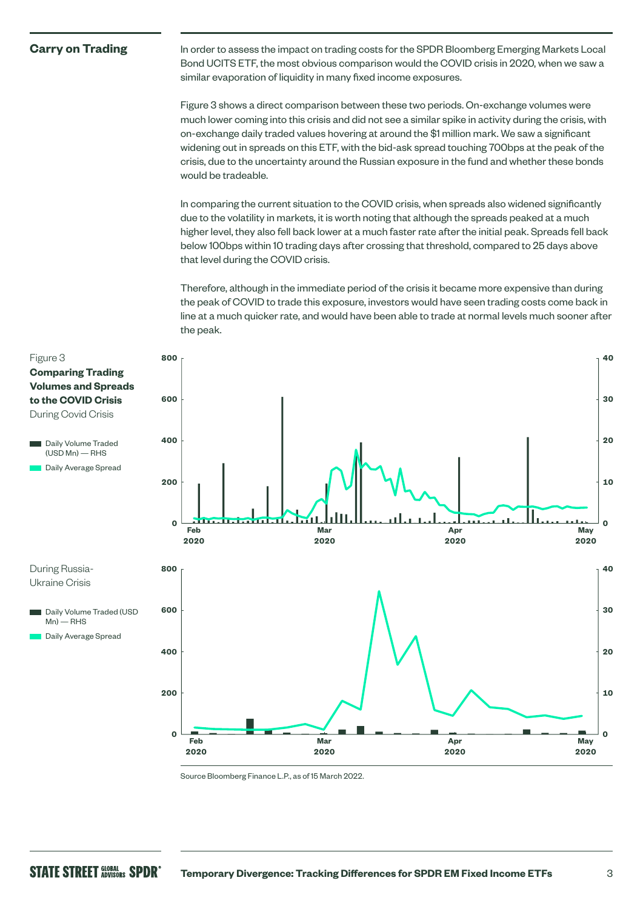### **Carry on Trading**

In order to assess the impact on trading costs for the SPDR Bloomberg Emerging Markets Local Bond UCITS ETF, the most obvious comparison would the COVID crisis in 2020, when we saw a similar evaporation of liquidity in many fixed income exposures.

Figure 3 shows a direct comparison between these two periods. On-exchange volumes were much lower coming into this crisis and did not see a similar spike in activity during the crisis, with on-exchange daily traded values hovering at around the \$1 million mark. We saw a significant widening out in spreads on this ETF, with the bid-ask spread touching 700bps at the peak of the crisis, due to the uncertainty around the Russian exposure in the fund and whether these bonds would be tradeable.

In comparing the current situation to the COVID crisis, when spreads also widened significantly due to the volatility in markets, it is worth noting that although the spreads peaked at a much higher level, they also fell back lower at a much faster rate after the initial peak. Spreads fell back below 100bps within 10 trading days after crossing that threshold, compared to 25 days above that level during the COVID crisis.

Therefore, although in the immediate period of the crisis it became more expensive than during the peak of COVID to trade this exposure, investors would have seen trading costs come back in line at a much quicker rate, and would have been able to trade at normal levels much sooner after the peak.



Source Bloomberg Finance L.P., as of 15 March 2022.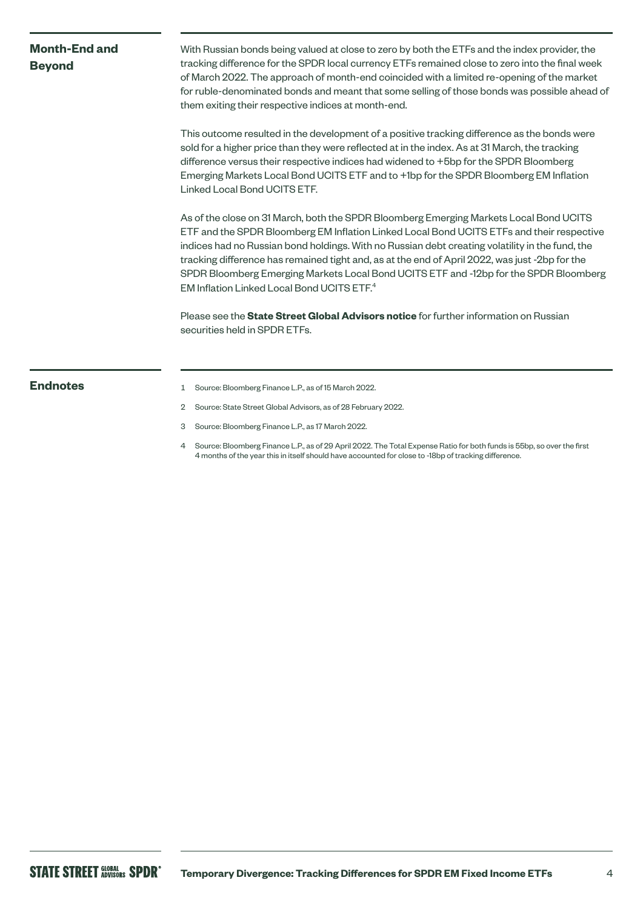# **Month-End and Beyond**

With Russian bonds being valued at close to zero by both the ETFs and the index provider, the tracking difference for the SPDR local currency ETFs remained close to zero into the final week of March 2022. The approach of month-end coincided with a limited re-opening of the market for ruble-denominated bonds and meant that some selling of those bonds was possible ahead of them exiting their respective indices at month-end.

This outcome resulted in the development of a positive tracking difference as the bonds were sold for a higher price than they were reflected at in the index. As at 31 March, the tracking difference versus their respective indices had widened to +5bp for the SPDR Bloomberg Emerging Markets Local Bond UCITS ETF and to +1bp for the SPDR Bloomberg EM Inflation Linked Local Bond UCITS ETF.

As of the close on 31 March, both the SPDR Bloomberg Emerging Markets Local Bond UCITS ETF and the SPDR Bloomberg EM Inflation Linked Local Bond UCITS ETFs and their respective indices had no Russian bond holdings. With no Russian debt creating volatility in the fund, the tracking difference has remained tight and, as at the end of April 2022, was just -2bp for the SPDR Bloomberg Emerging Markets Local Bond UCITS ETF and -12bp for the SPDR Bloomberg EM Inflation Linked Local Bond UCITS ETF.4

Please see the **[State Street Global Advisors notice](https://www.ssga.com/library-content/pdfs/global/russian-securities-held-in-state-street-global-advisors-spdr-etfs.pdf)** for further information on Russian securities held in SPDR ETFs.

- **Endnotes** 1 Source: Bloomberg Finance L.P., as of 15 March 2022.
	- 2 Source: State Street Global Advisors, as of 28 February 2022.
	- 3 Source: Bloomberg Finance L.P., as 17 March 2022.
	- 4 Source: Bloomberg Finance L.P., as of 29 April 2022. The Total Expense Ratio for both funds is 55bp, so over the first 4 months of the year this in itself should have accounted for close to -18bp of tracking difference.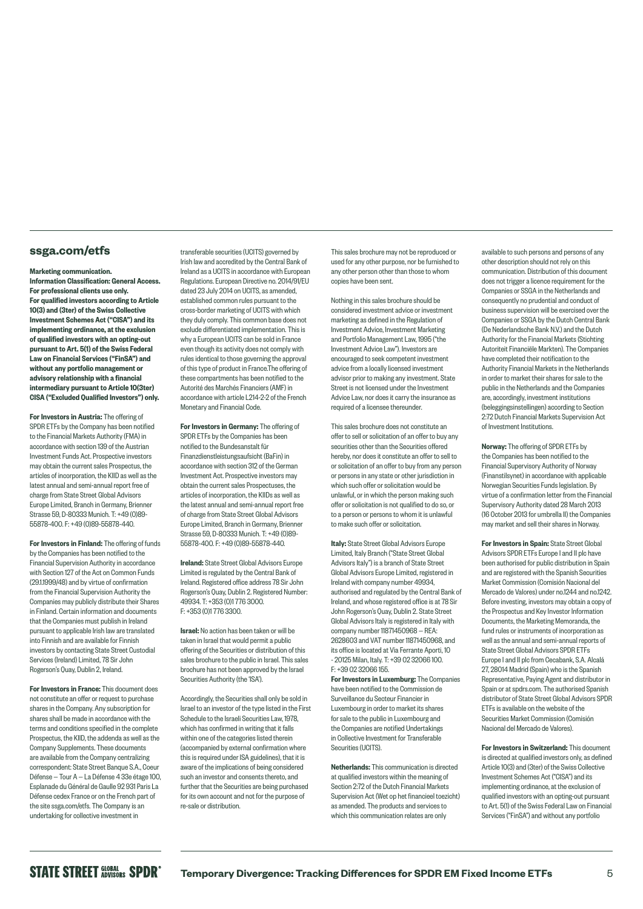#### **[ssga.com/etfs](http://www.ssga.com/etfs)**

#### Marketing communication.

Information Classification: General Access. For professional clients use only. For qualified investors according to Article 10(3) and (3ter) of the Swiss Collective Investment Schemes Act ("CISA") and its implementing ordinance, at the exclusion of qualified investors with an opting-out pursuant to Art. 5(1) of the Swiss Federal Law on Financial Services ("FinSA") and without any portfolio management or advisory relationship with a financial intermediary pursuant to Article 10(3ter) CISA ("Excluded Qualified Investors") only.

For Investors in Austria: The offering of SPDR ETFs by the Company has been notified to the Financial Markets Authority (FMA) in accordance with section 139 of the Austrian Investment Funds Act. Prospective investors may obtain the current sales Prospectus, the articles of incorporation, the KIID as well as the latest annual and semi-annual report free of charge from State Street Global Advisors Europe Limited, Branch in Germany, Brienner Strasse 59, D-80333 Munich. T: +49 (0)89- 55878-400. F: +49 (0)89-55878-440.

For Investors in Finland: The offering of funds by the Companies has been notified to the Financial Supervision Authority in accordance with Section 127 of the Act on Common Funds (29.1.1999/48) and by virtue of confirmation from the Financial Supervision Authority the Companies may publicly distribute their Shares in Finland. Certain information and documents that the Companies must publish in Ireland pursuant to applicable Irish law are translated into Finnish and are available for Finnish investors by contacting State Street Custodial Services (Ireland) Limited, 78 Sir John Rogerson's Quay, Dublin 2, Ireland.

For Investors in France: This document does not constitute an offer or request to purchase shares in the Company. Any subscription for shares shall be made in accordance with the terms and conditions specified in the complete Prospectus, the KIID, the addenda as well as the Company Supplements. These documents are available from the Company centralizing correspondent: State Street Banque S.A., Coeur Défense — Tour A — La Défense 4 33e étage 100, Esplanade du Général de Gaulle 92 931 Paris La Défense cedex France or on the French part of the site [ssga.com/etfs.](http://www.ssga.com/etfs) The Company is an undertaking for collective investment in

transferable securities (UCITS) governed by Irish law and accredited by the Central Bank of Ireland as a UCITS in accordance with European Regulations. European Directive no. 2014/91/EU dated 23 July 2014 on UCITS, as amended, established common rules pursuant to the cross-border marketing of UCITS with which they duly comply. This common base does not exclude differentiated implementation. This is why a European UCITS can be sold in France even though its activity does not comply with rules identical to those governing the approval of this type of product in France.The offering of these compartments has been notified to the Autorité des Marchés Financiers (AMF) in accordance with article L214-2-2 of the French Monetary and Financial Code.

For Investors in Germany: The offering of SPDR ETFs by the Companies has been notified to the Bundesanstalt für Finanzdienstleistungsaufsicht (BaFin) in accordance with section 312 of the German Investment Act. Prospective investors may obtain the current sales Prospectuses, the articles of incorporation, the KIIDs as well as the latest annual and semi-annual report free of charge from State Street Global Advisors Europe Limited, Branch in Germany, Brienner Strasse 59, D-80333 Munich. T: +49 (0)89- 55878-400. F: +49 (0)89-55878-440.

Ireland: State Street Global Advisors Europe Limited is regulated by the Central Bank of Ireland. Registered office address 78 Sir John Rogerson's Quay, Dublin 2. Registered Number: 49934. T: +353 (0)1 776 3000. F: +353 (0)1 776 3300.

Israel: No action has been taken or will be taken in Israel that would permit a public offering of the Securities or distribution of this sales brochure to the public in Israel. This sales brochure has not been approved by the Israel Securities Authority (the 'ISA').

Accordingly, the Securities shall only be sold in Israel to an investor of the type listed in the First Schedule to the Israeli Securities Law, 1978, which has confirmed in writing that it falls within one of the categories listed therein (accompanied by external confirmation where this is required under ISA guidelines), that it is aware of the implications of being considered such an investor and consents thereto, and further that the Securities are being purchased for its own account and not for the purpose of re-sale or distribution.

This sales brochure may not be reproduced or used for any other purpose, nor be furnished to any other person other than those to whom copies have been sent.

Nothing in this sales brochure should be considered investment advice or investment marketing as defined in the Regulation of Investment Advice, Investment Marketing and Portfolio Management Law, 1995 ("the Investment Advice Law"). Investors are encouraged to seek competent investment advice from a locally licensed investment advisor prior to making any investment. State Street is not licensed under the Investment Advice Law, nor does it carry the insurance as required of a licensee thereunder.

This sales brochure does not constitute an offer to sell or solicitation of an offer to buy any securities other than the Securities offered hereby, nor does it constitute an offer to sell to or solicitation of an offer to buy from any person or persons in any state or other jurisdiction in which such offer or solicitation would be unlawful, or in which the person making such offer or solicitation is not qualified to do so, or to a person or persons to whom it is unlawful to make such offer or solicitation.

Italy: State Street Global Advisors Europe Limited, Italy Branch ("State Street Global Advisors Italy") is a branch of State Street Global Advisors Europe Limited, registered in Ireland with company number 49934, authorised and regulated by the Central Bank of Ireland, and whose registered office is at 78 Sir John Rogerson's Quay, Dublin 2. State Street Global Advisors Italy is registered in Italy with company number 11871450968 — REA: 2628603 and VAT number 11871450968, and its office is located at Via Ferrante Aporti, 10 - 20125 Milan, Italy. T: +39 02 32066 100. F: +39 02 32066 155.

For Investors in Luxemburg: The Companies have been notified to the Commission de Surveillance du Secteur Financier in Luxembourg in order to market its shares for sale to the public in Luxembourg and the Companies are notified Undertakings in Collective Investment for Transferable Securities (UCITS)

Netherlands: This communication is directed at qualified investors within the meaning of Section 2:72 of the Dutch Financial Markets Supervision Act (Wet op het financieel toezicht) as amended. The products and services to which this communication relates are only

available to such persons and persons of any other description should not rely on this communication. Distribution of this document does not trigger a licence requirement for the Companies or SSGA in the Netherlands and consequently no prudential and conduct of business supervision will be exercised over the Companies or SSGA by the Dutch Central Bank (De Nederlandsche Bank N.V.) and the Dutch Authority for the Financial Markets (Stichting Autoriteit Financiële Markten). The Companies have completed their notification to the Authority Financial Markets in the Netherlands in order to market their shares for sale to the public in the Netherlands and the Companies are, accordingly, investment institutions (beleggingsinstellingen) according to Section 2:72 Dutch Financial Markets Supervision Act of Investment Institutions.

Norway: The offering of SPDR ETFs by the Companies has been notified to the Financial Supervisory Authority of Norway (Finanstilsynet) in accordance with applicable Norwegian Securities Funds legislation. By virtue of a confirmation letter from the Financial Supervisory Authority dated 28 March 2013 (16 October 2013 for umbrella II) the Companies may market and sell their shares in Norway.

For Investors in Spain: State Street Global Advisors SPDR ETFs Europe I and II plc have been authorised for public distribution in Spain and are registered with the Spanish Securities Market Commission (Comisión Nacional del Mercado de Valores) under no.1244 and no.1242 Before investing, investors may obtain a copy of the Prospectus and Key Investor Information Documents, the Marketing Memoranda, the fund rules or instruments of incorporation as well as the annual and semi-annual reports of State Street Global Advisors SPDR ETFs Europe I and II plc from Cecabank, S.A. Alcalá 27, 28014 Madrid (Spain) who is the Spanish Representative, Paying Agent and distributor in Spain or at [spdrs.com.](http://www.spdrs.com) The authorised Spanish distributor of State Street Global Advisors SPDR ETFs is available on the website of the Securities Market Commission (Comisión Nacional del Mercado de Valores).

For Investors in Switzerland: This document is directed at qualified investors only, as defined Article 10(3) and (3ter) of the Swiss Collective Investment Schemes Act ("CISA") and its implementing ordinance, at the exclusion of qualified investors with an opting-out pursuant to Art. 5(1) of the Swiss Federal Law on Financial Services ("FinSA") and without any portfolio